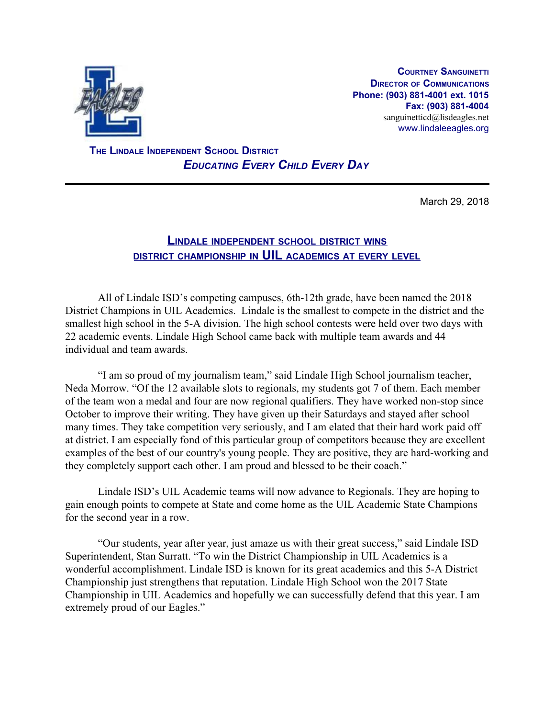

**COURTNEY SANGUINETTI DIRECTOR OF COMMUNICATIONS Phone: (903) 881-4001 ext. 1015 Fax: (903) 881-4004** sanguinetticd@lisdeagles.net www.lindaleeagles.org

 **THE LINDALE INDEPENDENT SCHOOL DISTRICT** *EDUCATING EVERY CHILD EVERY DAY*

March 29, 2018

## **LINDALE INDEPENDENT SCHOOL DISTRICT WINS DISTRICT CHAMPIONSHIP IN UIL ACADEMICS AT EVERY LEVEL**

All of Lindale ISD's competing campuses, 6th-12th grade, have been named the 2018 District Champions in UIL Academics. Lindale is the smallest to compete in the district and the smallest high school in the 5-A division. The high school contests were held over two days with 22 academic events. Lindale High School came back with multiple team awards and 44 individual and team awards.

"I am so proud of my journalism team," said Lindale High School journalism teacher, Neda Morrow. "Of the 12 available slots to regionals, my students got 7 of them. Each member of the team won a medal and four are now regional qualifiers. They have worked non-stop since October to improve their writing. They have given up their Saturdays and stayed after school many times. They take competition very seriously, and I am elated that their hard work paid off at district. I am especially fond of this particular group of competitors because they are excellent examples of the best of our country's young people. They are positive, they are hard-working and they completely support each other. I am proud and blessed to be their coach."

Lindale ISD's UIL Academic teams will now advance to Regionals. They are hoping to gain enough points to compete at State and come home as the UIL Academic State Champions for the second year in a row.

"Our students, year after year, just amaze us with their great success," said Lindale ISD Superintendent, Stan Surratt. "To win the District Championship in UIL Academics is a wonderful accomplishment. Lindale ISD is known for its great academics and this 5-A District Championship just strengthens that reputation. Lindale High School won the 2017 State Championship in UIL Academics and hopefully we can successfully defend that this year. I am extremely proud of our Eagles."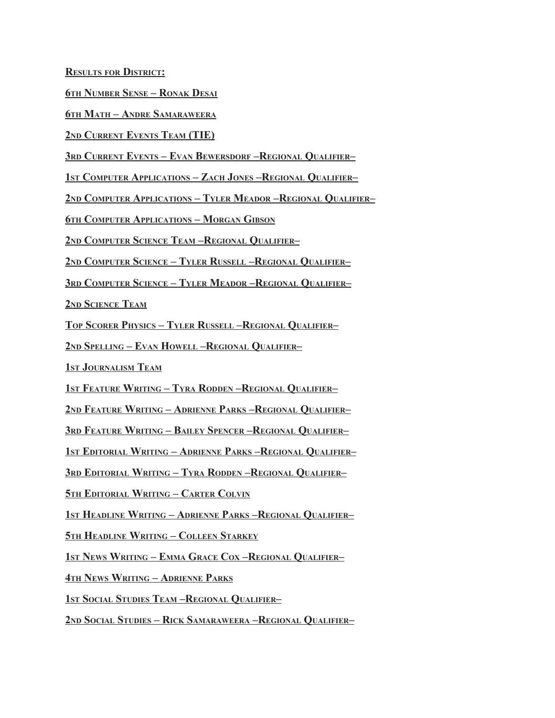**RESULTS FOR DISTRICT:**

**TH NUMBER SENSE – RONAK DESAI**

**TH MATH – ANDRE SAMARAWEERA**

**ND CURRENT EVENTS TEAM (TIE)**

**RD CURRENT EVENTS – EVAN BEWERSDORF –REGIONAL QUALIFIER–**

**ST COMPUTER APPLICATIONS – ZACH JONES –REGIONAL QUALIFIER–**

**ND COMPUTER APPLICATIONS – TYLER MEADOR –REGIONAL QUALIFIER–**

**TH COMPUTER APPLICATIONS – MORGAN GIBSON**

**ND COMPUTER SCIENCE TEAM –REGIONAL QUALIFIER–**

**ND COMPUTER SCIENCE – TYLER RUSSELL –REGIONAL QUALIFIER–**

**RD COMPUTER SCIENCE – TYLER MEADOR –REGIONAL QUALIFIER–**

**ND SCIENCE TEAM**

**TOP SCORER PHYSICS – TYLER RUSSELL –REGIONAL QUALIFIER–**

**ND SPELLING – EVAN HOWELL –REGIONAL QUALIFIER–**

**ST JOURNALISM TEAM**

**ST FEATURE WRITING – TYRA RODDEN –REGIONAL QUALIFIER–**

**ND FEATURE WRITING – ADRIENNE PARKS –REGIONAL QUALIFIER–**

**RD FEATURE WRITING – BAILEY SPENCER –REGIONAL QUALIFIER–**

**ST EDITORIAL WRITING – ADRIENNE PARKS –REGIONAL QUALIFIER–**

**RD EDITORIAL WRITING – TYRA RODDEN –REGIONAL QUALIFIER–**

**TH EDITORIAL WRITING – CARTER COLVIN**

**ST HEADLINE WRITING – ADRIENNE PARKS –REGIONAL QUALIFIER–**

**TH HEADLINE WRITING – COLLEEN STARKEY**

**ST NEWS WRITING – EMMA GRACE COX –REGIONAL QUALIFIER–**

**TH NEWS WRITING – ADRIENNE PARKS**

**ST SOCIAL STUDIES TEAM –REGIONAL QUALIFIER–**

**ND SOCIAL STUDIES – RICK SAMARAWEERA –REGIONAL QUALIFIER–**